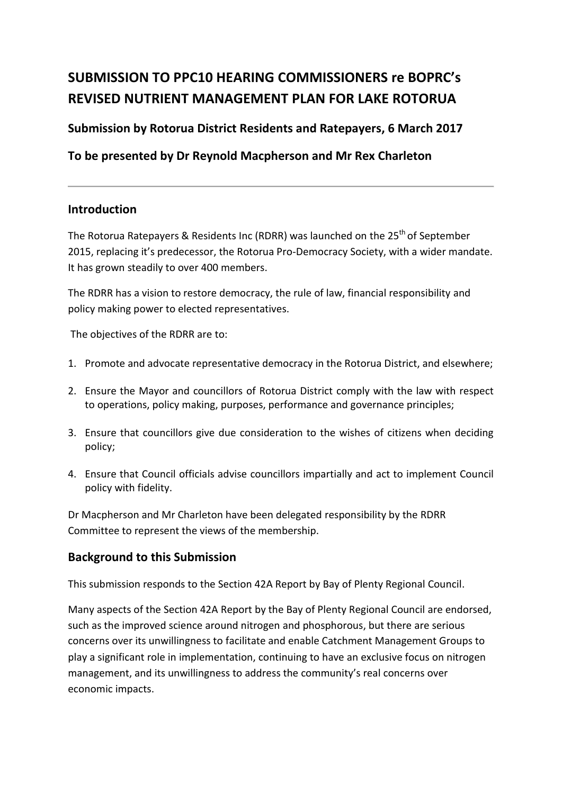# **SUBMISSION TO PPC10 HEARING COMMISSIONERS re BOPRC's REVISED NUTRIENT MANAGEMENT PLAN FOR LAKE ROTORUA**

### **Submission by Rotorua District Residents and Ratepayers, 6 March 2017**

**To be presented by Dr Reynold Macpherson and Mr Rex Charleton**

### **Introduction**

The Rotorua Ratepayers & Residents Inc (RDRR) was launched on the  $25<sup>th</sup>$  of September 2015, replacing it's predecessor, the Rotorua Pro-Democracy Society, with a wider mandate. It has grown steadily to over 400 members.

The RDRR has a vision to restore democracy, the rule of law, financial responsibility and policy making power to elected representatives.

The objectives of the RDRR are to:

- 1. Promote and advocate representative democracy in the Rotorua District, and elsewhere;
- 2. Ensure the Mayor and councillors of Rotorua District comply with the law with respect to operations, policy making, purposes, performance and governance principles;
- 3. Ensure that councillors give due consideration to the wishes of citizens when deciding policy;
- 4. Ensure that Council officials advise councillors impartially and act to implement Council policy with fidelity.

Dr Macpherson and Mr Charleton have been delegated responsibility by the RDRR Committee to represent the views of the membership.

### **Background to this Submission**

This submission responds to the Section 42A Report by Bay of Plenty Regional Council.

Many aspects of the Section 42A Report by the Bay of Plenty Regional Council are endorsed, such as the improved science around nitrogen and phosphorous, but there are serious concerns over its unwillingness to facilitate and enable Catchment Management Groups to play a significant role in implementation, continuing to have an exclusive focus on nitrogen management, and its unwillingness to address the community's real concerns over economic impacts.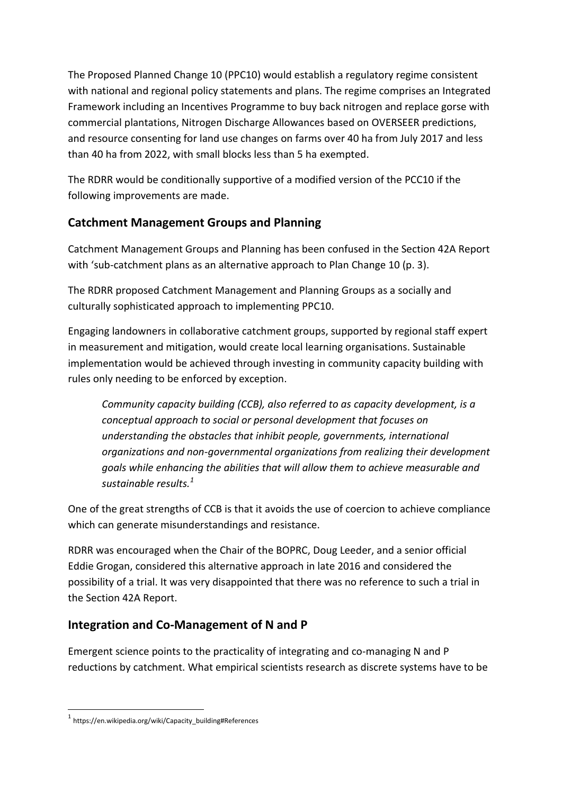The Proposed Planned Change 10 (PPC10) would establish a regulatory regime consistent with national and regional policy statements and plans. The regime comprises an Integrated Framework including an Incentives Programme to buy back nitrogen and replace gorse with commercial plantations, Nitrogen Discharge Allowances based on OVERSEER predictions, and resource consenting for land use changes on farms over 40 ha from July 2017 and less than 40 ha from 2022, with small blocks less than 5 ha exempted.

The RDRR would be conditionally supportive of a modified version of the PCC10 if the following improvements are made.

# **Catchment Management Groups and Planning**

Catchment Management Groups and Planning has been confused in the Section 42A Report with 'sub-catchment plans as an alternative approach to Plan Change 10 (p. 3).

The RDRR proposed Catchment Management and Planning Groups as a socially and culturally sophisticated approach to implementing PPC10.

Engaging landowners in collaborative catchment groups, supported by regional staff expert in measurement and mitigation, would create local learning organisations. Sustainable implementation would be achieved through investing in community capacity building with rules only needing to be enforced by exception.

*Community capacity building (CCB), also referred to as capacity development, is a conceptual approach to social or personal development that focuses on understanding the obstacles that inhibit people, governments, international organizations and non-governmental organizations from realizing their development goals while enhancing the abilities that will allow them to achieve measurable and sustainable results.<sup>1</sup>*

One of the great strengths of CCB is that it avoids the use of coercion to achieve compliance which can generate misunderstandings and resistance.

RDRR was encouraged when the Chair of the BOPRC, Doug Leeder, and a senior official Eddie Grogan, considered this alternative approach in late 2016 and considered the possibility of a trial. It was very disappointed that there was no reference to such a trial in the Section 42A Report.

# **Integration and Co-Management of N and P**

Emergent science points to the practicality of integrating and co-managing N and P reductions by catchment. What empirical scientists research as discrete systems have to be

**.** 

<sup>1</sup> https://en.wikipedia.org/wiki/Capacity\_building#References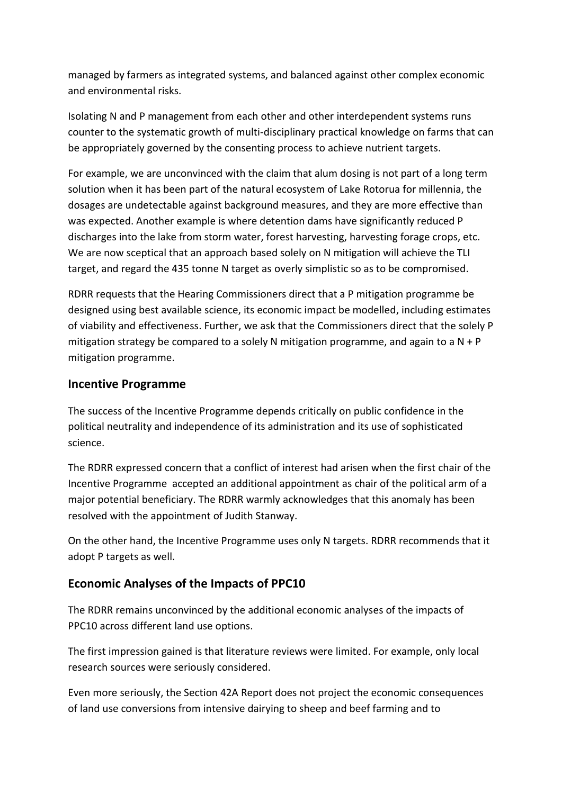managed by farmers as integrated systems, and balanced against other complex economic and environmental risks.

Isolating N and P management from each other and other interdependent systems runs counter to the systematic growth of multi-disciplinary practical knowledge on farms that can be appropriately governed by the consenting process to achieve nutrient targets.

For example, we are unconvinced with the claim that alum dosing is not part of a long term solution when it has been part of the natural ecosystem of Lake Rotorua for millennia, the dosages are undetectable against background measures, and they are more effective than was expected. Another example is where detention dams have significantly reduced P discharges into the lake from storm water, forest harvesting, harvesting forage crops, etc. We are now sceptical that an approach based solely on N mitigation will achieve the TLI target, and regard the 435 tonne N target as overly simplistic so as to be compromised.

RDRR requests that the Hearing Commissioners direct that a P mitigation programme be designed using best available science, its economic impact be modelled, including estimates of viability and effectiveness. Further, we ask that the Commissioners direct that the solely P mitigation strategy be compared to a solely N mitigation programme, and again to a  $N + P$ mitigation programme.

### **Incentive Programme**

The success of the Incentive Programme depends critically on public confidence in the political neutrality and independence of its administration and its use of sophisticated science.

The RDRR expressed concern that a conflict of interest had arisen when the first chair of the Incentive Programme accepted an additional appointment as chair of the political arm of a major potential beneficiary. The RDRR warmly acknowledges that this anomaly has been resolved with the appointment of Judith Stanway.

On the other hand, the Incentive Programme uses only N targets. RDRR recommends that it adopt P targets as well.

# **Economic Analyses of the Impacts of PPC10**

The RDRR remains unconvinced by the additional economic analyses of the impacts of PPC10 across different land use options.

The first impression gained is that literature reviews were limited. For example, only local research sources were seriously considered.

Even more seriously, the Section 42A Report does not project the economic consequences of land use conversions from intensive dairying to sheep and beef farming and to